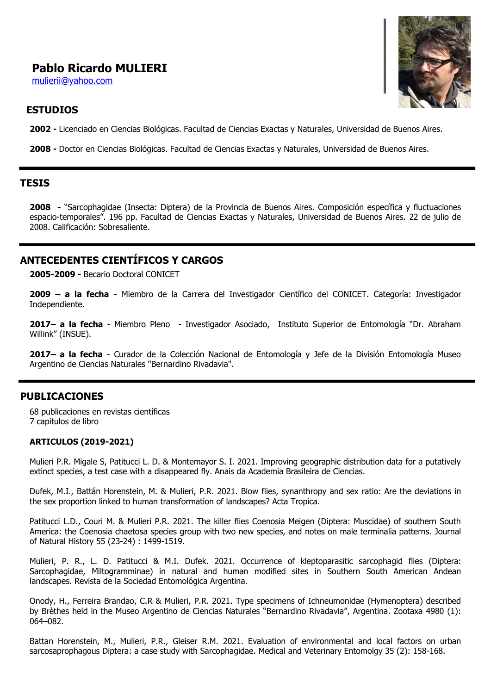# **Pablo Ricardo MULIERI**

mulierii@yahoo.com

# **ESTUDIOS**

**2002 -** Licenciado en Ciencias Biológicas. Facultad de Ciencias Exactas y Naturales, Universidad de Buenos Aires.

**2008 -** Doctor en Ciencias Biológicas. Facultad de Ciencias Exactas y Naturales, Universidad de Buenos Aires.

### **TESIS**

**2008 -** "Sarcophagidae (Insecta: Diptera) de la Provincia de Buenos Aires. Composición específica y fluctuaciones espacio-temporales". 196 pp. Facultad de Ciencias Exactas y Naturales, Universidad de Buenos Aires. 22 de julio de 2008. Calificación: Sobresaliente.

# **ANTECEDENTES CIENTÍFICOS Y CARGOS**

**2005-2009 -** Becario Doctoral CONICET

**2009 – a la fecha -** Miembro de la Carrera del Investigador Científico del CONICET. Categoría: Investigador Independiente.

**2017– a la fecha** - Miembro Pleno - Investigador Asociado, Instituto Superior de Entomología "Dr. Abraham Willink" (INSUE).

**2017– a la fecha** - Curador de la Colección Nacional de Entomología y Jefe de la División Entomología Museo Argentino de Ciencias Naturales "Bernardino Rivadavia".

## **PUBLICACIONES**

68 publicaciones en revistas científicas 7 capitulos de libro

#### **ARTICULOS (2019-2021)**

Mulieri P.R. Migale S, Patitucci L. D. & Montemayor S. I. 2021. Improving geographic distribution data for a putatively extinct species, a test case with a disappeared fly. Anais da Academia Brasileira de Ciencias.

Dufek, M.I., Battán Horenstein, M. & Mulieri, P.R. 2021. Blow flies, synanthropy and sex ratio: Are the deviations in the sex proportion linked to human transformation of landscapes? Acta Tropica.

Patitucci L.D., Couri M. & Mulieri P.R. 2021. The killer flies Coenosia Meigen (Diptera: Muscidae) of southern South America: the Coenosia chaetosa species group with two new species, and notes on male terminalia patterns. Journal of Natural History 55 (23-24) : 1499-1519.

Mulieri, P. R., L. D. Patitucci & M.I. Dufek. 2021. Occurrence of kleptoparasitic sarcophagid flies (Diptera: Sarcophagidae, Miltogramminae) in natural and human modified sites in Southern South American Andean landscapes. Revista de la Sociedad Entomológica Argentina.

Onody, H., Ferreira Brandao, C.R & Mulieri, P.R. 2021. Type specimens of Ichneumonidae (Hymenoptera) described by Brèthes held in the Museo Argentino de Ciencias Naturales "Bernardino Rivadavia", Argentina. Zootaxa 4980 (1): 064–082.

Battan Horenstein, M., Mulieri, P.R., Gleiser R.M. 2021. Evaluation of environmental and local factors on urban sarcosaprophagous Diptera: a case study with Sarcophagidae. Medical and Veterinary Entomolgy 35 (2): 158-168.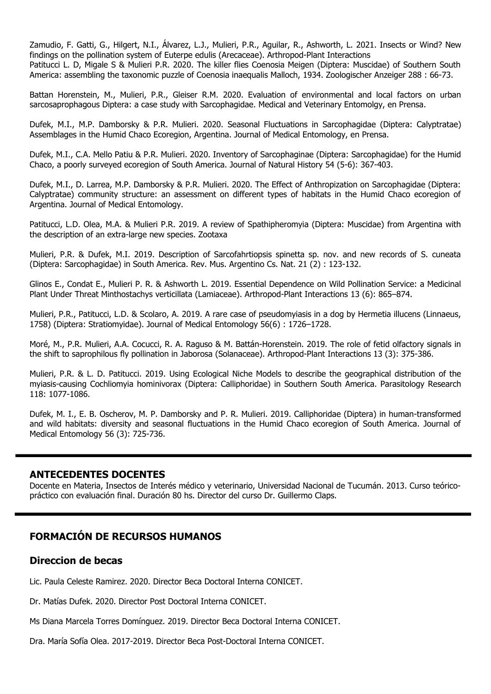Zamudio, F. Gatti, G., Hilgert, N.I., Álvarez, L.J., Mulieri, P.R., Aguilar, R., Ashworth, L. 2021. Insects or Wind? New findings on the pollination system of Euterpe edulis (Arecaceae). Arthropod-Plant Interactions

Patitucci L. D, Migale S & Mulieri P.R. 2020. The killer flies Coenosia Meigen (Diptera: Muscidae) of Southern South America: assembling the taxonomic puzzle of Coenosia inaequalis Malloch, 1934. Zoologischer Anzeiger 288 : 66-73.

Battan Horenstein, M., Mulieri, P.R., Gleiser R.M. 2020. Evaluation of environmental and local factors on urban sarcosaprophagous Diptera: a case study with Sarcophagidae. Medical and Veterinary Entomolgy, en Prensa.

Dufek, M.I., M.P. Damborsky & P.R. Mulieri. 2020. Seasonal Fluctuations in Sarcophagidae (Diptera: Calyptratae) Assemblages in the Humid Chaco Ecoregion, Argentina. Journal of Medical Entomology, en Prensa.

Dufek, M.I., C.A. Mello Patiu & P.R. Mulieri. 2020. Inventory of Sarcophaginae (Diptera: Sarcophagidae) for the Humid Chaco, a poorly surveyed ecoregion of South America. Journal of Natural History 54 (5-6): 367-403.

Dufek, M.I., D. Larrea, M.P. Damborsky & P.R. Mulieri. 2020. The Effect of Anthropization on Sarcophagidae (Diptera: Calyptratae) community structure: an assessment on different types of habitats in the Humid Chaco ecoregion of Argentina. Journal of Medical Entomology.

Patitucci, L.D. Olea, M.A. & Mulieri P.R. 2019. A review of Spathipheromyia (Diptera: Muscidae) from Argentina with the description of an extra-large new species. Zootaxa

Mulieri, P.R. & Dufek, M.I. 2019. Description of Sarcofahrtiopsis spinetta sp. nov. and new records of S. cuneata (Diptera: Sarcophagidae) in South America. Rev. Mus. Argentino Cs. Nat. 21 (2) : 123-132.

Glinos E., Condat E., Mulieri P. R. & Ashworth L. 2019. Essential Dependence on Wild Pollination Service: a Medicinal Plant Under Threat Minthostachys verticillata (Lamiaceae). Arthropod-Plant Interactions 13 (6): 865–874.

Mulieri, P.R., Patitucci, L.D. & Scolaro, A. 2019. A rare case of pseudomyiasis in a dog by Hermetia illucens (Linnaeus, 1758) (Diptera: Stratiomyidae). Journal of Medical Entomology 56(6) : 1726–1728.

Moré, M., P.R. Mulieri, A.A. Cocucci, R. A. Raguso & M. Battán-Horenstein. 2019. The role of fetid olfactory signals in the shift to saprophilous fly pollination in Jaborosa (Solanaceae). Arthropod-Plant Interactions 13 (3): 375-386.

Mulieri, P.R. & L. D. Patitucci. 2019. Using Ecological Niche Models to describe the geographical distribution of the myiasis-causing Cochliomyia hominivorax (Diptera: Calliphoridae) in Southern South America. Parasitology Research 118: 1077-1086.

Dufek, M. I., E. B. Oscherov, M. P. Damborsky and P. R. Mulieri. 2019. Calliphoridae (Diptera) in human-transformed and wild habitats: diversity and seasonal fluctuations in the Humid Chaco ecoregion of South America. Journal of Medical Entomology 56 (3): 725-736.

### **ANTECEDENTES DOCENTES**

Docente en Materia, Insectos de Interés médico y veterinario, Universidad Nacional de Tucumán. 2013. Curso teóricopráctico con evaluación final. Duración 80 hs. Director del curso Dr. Guillermo Claps.

## **FORMACIÓN DE RECURSOS HUMANOS**

### **Direccion de becas**

Lic. Paula Celeste Ramirez. 2020. Director Beca Doctoral Interna CONICET.

Dr. Matías Dufek. 2020. Director Post Doctoral Interna CONICET.

Ms Diana Marcela Torres Domínguez. 2019. Director Beca Doctoral Interna CONICET.

Dra. María Sofía Olea. 2017-2019. Director Beca Post-Doctoral Interna CONICET.